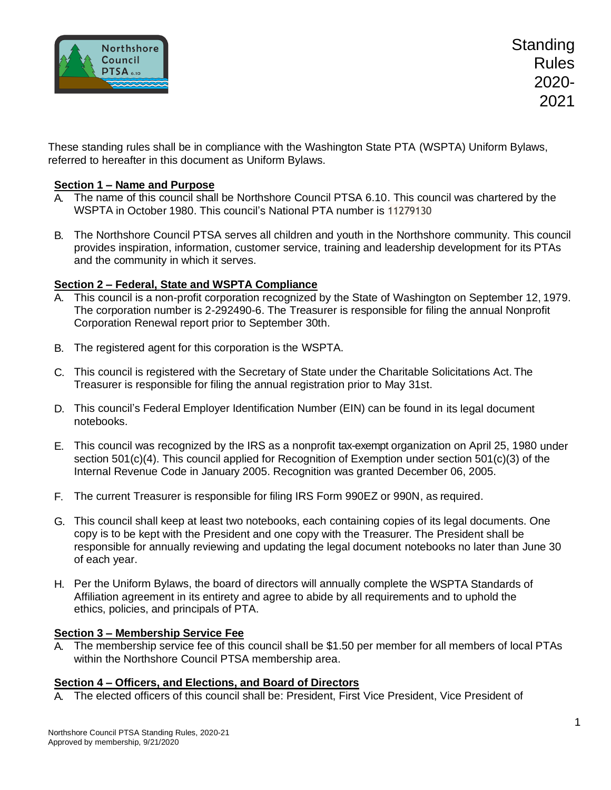

**Standing** Rules 2020- 2021

These standing rules shall be in compliance with the Washington State PTA (WSPTA) Uniform Bylaws, referred to hereafter in this document as Uniform Bylaws.

## **Section 1 – Name and Purpose**

- A. The name of this council shall be Northshore Council PTSA 6.10. This council was chartered by the WSPTA in October 1980. This council's National PTA number is 11279130
- B. The Northshore Council PTSA serves all children and youth in the Northshore community. This council provides inspiration, information, customer service, training and leadership development for its PTAs and the community in which it serves.

### **Section 2 – Federal, State and WSPTA Compliance**

- A. This council is a non-profit corporation recognized by the State of Washington on September 12, 1979. The corporation number is 2-292490-6. The Treasurer is responsible for filing the annual Nonprofit Corporation Renewal report prior to September 30th.
- B. The registered agent for this corporation is the WSPTA.
- C. This council is registered with the Secretary of State under the Charitable Solicitations Act. The Treasurer is responsible for filing the annual registration prior to May 31st.
- D. This council's Federal Employer Identification Number (EIN) can be found in its legal document notebooks.
- E. This council was recognized by the IRS as a nonprofit tax-exempt organization on April 25, 1980 under section 501(c)(4). This council applied for Recognition of Exemption under section 501(c)(3) of the Internal Revenue Code in January 2005. Recognition was granted December 06, 2005.
- F. The current Treasurer is responsible for filing IRS Form 990EZ or 990N, as required.
- G. This council shall keep at least two notebooks, each containing copies of its legal documents. One copy is to be kept with the President and one copy with the Treasurer. The President shall be responsible for annually reviewing and updating the legal document notebooks no later than June 30 of each year.
- H. Per the Uniform Bylaws, the board of directors will annually complete the WSPTA Standards of Affiliation agreement in its entirety and agree to abide by all requirements and to uphold the ethics, policies, and principals of PTA.

#### **Section 3 – Membership Service Fee**

A. The membership service fee of this council shaIl be \$1.50 per member for all members of local PTAs within the Northshore Council PTSA membership area.

#### **Section 4 – Officers, and Elections, and Board of Directors**

A. The elected officers of this council shall be: President, First Vice President, Vice President of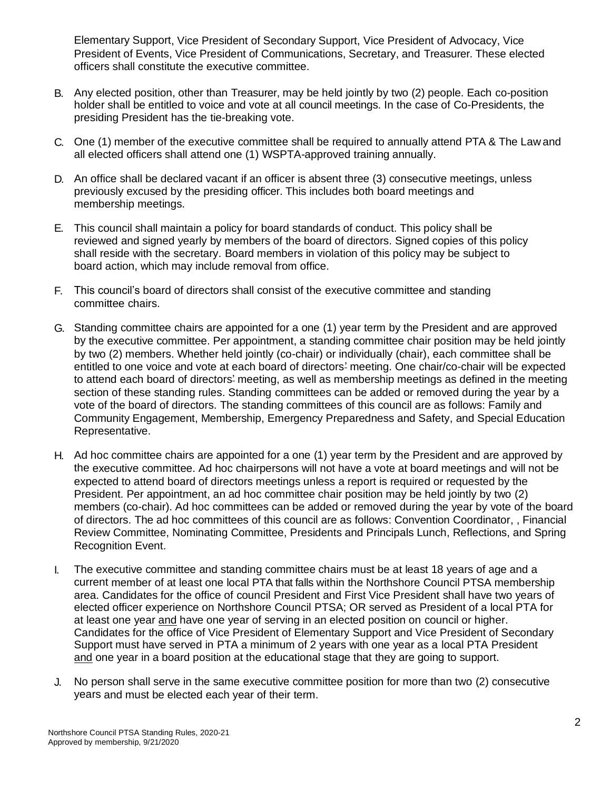Elementary Support, Vice President of Secondary Support, Vice President of Advocacy, Vice President of Events, Vice President of Communications, Secretary, and Treasurer. These elected officers shall constitute the executive committee.

- B. Any elected position, other than Treasurer, may be held jointly by two (2) people. Each co-position holder shall be entitled to voice and vote at all council meetings. In the case of Co-Presidents, the presiding President has the tie-breaking vote.
- C. One (1) member of the executive committee shall be required to annually attend PTA & The Law and all elected officers shall attend one (1) WSPTA-approved training annually.
- D. An office shall be declared vacant if an officer is absent three (3) consecutive meetings, unless previously excused by the presiding officer. This includes both board meetings and membership meetings.
- E. This council shall maintain a policy for board standards of conduct. This policy shall be reviewed and signed yearly by members of the board of directors. Signed copies of this policy shall reside with the secretary. Board members in violation of this policy may be subject to board action, which may include removal from office.
- F. This council's board of directors shall consist of the executive committee and standing committee chairs.
- G. Standing committee chairs are appointed for a one (1) year term by the President and are approved by the executive committee. Per appointment, a standing committee chair position may be held jointly by two (2) members. Whether held jointly (co-chair) or individually (chair), each committee shall be entitled to one voice and vote at each board of directors' meeting. One chair/co-chair will be expected to attend each board of directors' meeting, as well as membership meetings as defined in the meeting section of these standing rules. Standing committees can be added or removed during the year by a vote of the board of directors. The standing committees of this council are as follows: Family and Community Engagement, Membership, Emergency Preparedness and Safety, and Special Education Representative.
- H. Ad hoc committee chairs are appointed for a one (1) year term by the President and are approved by the executive committee. Ad hoc chairpersons will not have a vote at board meetings and will not be expected to attend board of directors meetings unless a report is required or requested by the President. Per appointment, an ad hoc committee chair position may be held jointly by two (2) members (co-chair). Ad hoc committees can be added or removed during the year by vote of the board of directors. The ad hoc committees of this council are as follows: Convention Coordinator, , Financial Review Committee, Nominating Committee, Presidents and Principals Lunch, Reflections, and Spring Recognition Event.
- I. The executive committee and standing committee chairs must be at least 18 years of age and a current member of at least one local PTA that falls within the Northshore Council PTSA membership area. Candidates for the office of council President and First Vice President shall have two years of elected officer experience on Northshore Council PTSA; OR served as President of a local PTA for at least one year and have one year of serving in an elected position on council or higher. Candidates for the office of Vice President of Elementary Support and Vice President of Secondary Support must have served in PTA a minimum of 2 years with one year as a local PTA President and one year in a board position at the educational stage that they are going to support.
- J. No person shall serve in the same executive committee position for more than two (2) consecutive years and must be elected each year of their term.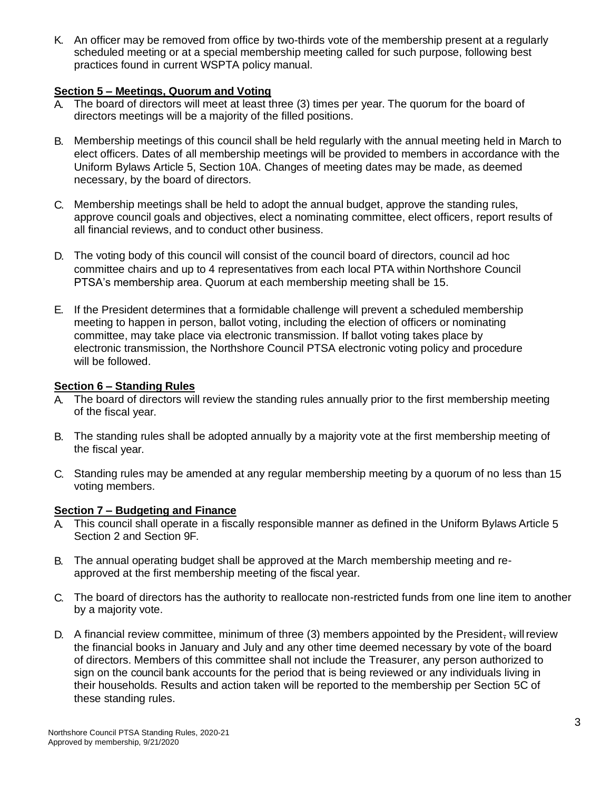K. An officer may be removed from office by two-thirds vote of the membership present at a regularly scheduled meeting or at a special membership meeting called for such purpose, following best practices found in current WSPTA policy manual.

# **Section 5 – Meetings, Quorum and Voting**

- A. The board of directors will meet at least three (3) times per year. The quorum for the board of directors meetings will be a majority of the filled positions.
- B. Membership meetings of this council shall be held regularly with the annual meeting held in March to elect officers. Dates of all membership meetings will be provided to members in accordance with the Uniform Bylaws Article 5, Section 10A. Changes of meeting dates may be made, as deemed necessary, by the board of directors.
- C. Membership meetings shall be held to adopt the annual budget, approve the standing rules, approve council goals and objectives, elect a nominating committee, elect officers, report results of all financial reviews, and to conduct other business.
- D. The voting body of this council will consist of the council board of directors, council ad hoc committee chairs and up to 4 representatives from each local PTA within Northshore Council PTSA's membership area. Quorum at each membership meeting shall be 15.
- E. If the President determines that a formidable challenge will prevent a scheduled membership meeting to happen in person, ballot voting, including the election of officers or nominating committee, may take place via electronic transmission. If ballot voting takes place by electronic transmission, the Northshore Council PTSA electronic voting policy and procedure will be followed.

# **Section 6 – Standing Rules**

- A. The board of directors will review the standing rules annually prior to the first membership meeting of the fiscal year.
- B. The standing rules shall be adopted annually by a majority vote at the first membership meeting of the fiscal year.
- C. Standing rules may be amended at any regular membership meeting by a quorum of no less than 15 voting members.

## **Section 7 – Budgeting and Finance**

- This council shall operate in a fiscally responsible manner as defined in the Uniform Bylaws Article 5 Section 2 and Section 9F.
- B. The annual operating budget shall be approved at the March membership meeting and reapproved at the first membership meeting of the fiscal year.
- C. The board of directors has the authority to reallocate non-restricted funds from one line item to another by a majority vote.
- D. A financial review committee, minimum of three  $(3)$  members appointed by the President, will review the financial books in January and July and any other time deemed necessary by vote of the board of directors. Members of this committee shall not include the Treasurer, any person authorized to sign on the council bank accounts for the period that is being reviewed or any individuals living in their households. Results and action taken will be reported to the membership per Section 5C of these standing rules.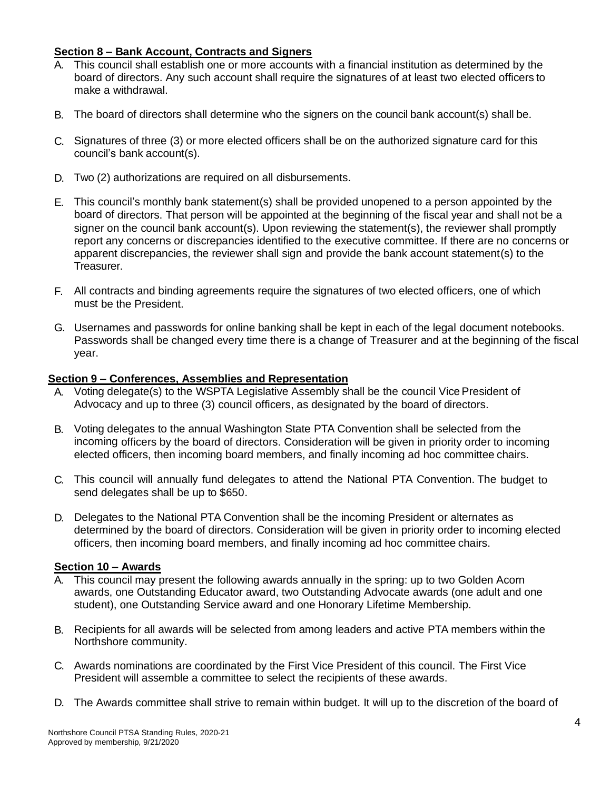# **Section 8 – Bank Account, Contracts and Signers**

- A. This council shall establish one or more accounts with a financial institution as determined by the board of directors. Any such account shall require the signatures of at least two elected officers to make a withdrawal.
- B. The board of directors shall determine who the signers on the council bank account(s) shall be.
- C. Signatures of three (3) or more elected officers shall be on the authorized signature card for this council's bank account(s).
- D. Two (2) authorizations are required on all disbursements.
- E. This council's monthly bank statement(s) shall be provided unopened to a person appointed by the board of directors. That person will be appointed at the beginning of the fiscal year and shall not be a signer on the council bank account(s). Upon reviewing the statement(s), the reviewer shall promptly report any concerns or discrepancies identified to the executive committee. If there are no concerns or apparent discrepancies, the reviewer shall sign and provide the bank account statement(s) to the Treasurer.
- F. All contracts and binding agreements require the signatures of two elected officers, one of which must be the President.
- G. Usernames and passwords for online banking shall be kept in each of the legal document notebooks. Passwords shall be changed every time there is a change of Treasurer and at the beginning of the fiscal year.

### **Section 9 – Conferences, Assemblies and Representation**

- Voting delegate(s) to the WSPTA Legislative Assembly shall be the council Vice President of Advocacy and up to three (3) council officers, as designated by the board of directors.
- B. Voting delegates to the annual Washington State PTA Convention shall be selected from the incoming officers by the board of directors. Consideration will be given in priority order to incoming elected officers, then incoming board members, and finally incoming ad hoc committee chairs.
- C. This council will annually fund delegates to attend the National PTA Convention. The budget to send delegates shall be up to \$650.
- D. Delegates to the National PTA Convention shall be the incoming President or alternates as determined by the board of directors. Consideration will be given in priority order to incoming elected officers, then incoming board members, and finally incoming ad hoc committee chairs.

#### **Section 10 – Awards**

- A. This council may present the following awards annually in the spring: up to two Golden Acorn awards, one Outstanding Educator award, two Outstanding Advocate awards (one adult and one student), one Outstanding Service award and one Honorary Lifetime Membership.
- B. Recipients for all awards will be selected from among leaders and active PTA members within the Northshore community.
- C. Awards nominations are coordinated by the First Vice President of this council. The First Vice President will assemble a committee to select the recipients of these awards.
- D. The Awards committee shall strive to remain within budget. It will up to the discretion of the board of